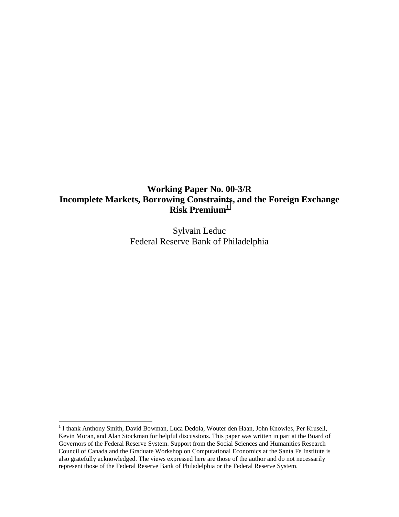# **Working Paper No. 00-3/R Incomplete Markets, Borrowing Constraints, and the Foreign Exchange Risk Premium**<sup>1</sup>

Sylvain Leduc Federal Reserve Bank of Philadelphia

<sup>&</sup>lt;sup>1</sup> I thank Anthony Smith, David Bowman, Luca Dedola, Wouter den Haan, John Knowles, Per Krusell, Kevin Moran, and Alan Stockman for helpful discussions. This paper was written in part at the Board of Governors of the Federal Reserve System. Support from the Social Sciences and Humanities Research Council of Canada and the Graduate Workshop on Computational Economics at the Santa Fe Institute is also gratefully acknowledged. The views expressed here are those of the author and do not necessarily represent those of the Federal Reserve Bank of Philadelphia or the Federal Reserve System.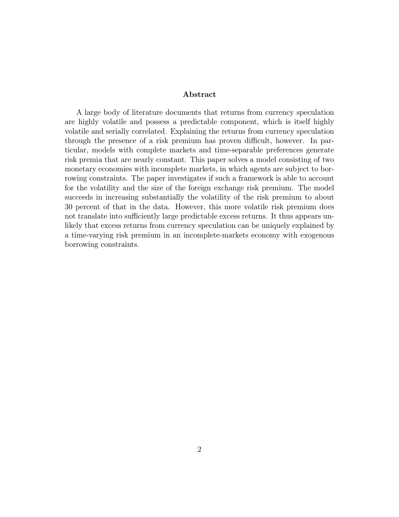#### Abstract

A large body of literature documents that returns from currency speculation are highly volatile and possess a predictable component, which is itself highly volatile and serially correlated. Explaining the returns from currency speculation through the presence of a risk premium has proven difficult, however. In particular, models with complete markets and time-separable preferences generate risk premia that are nearly constant. This paper solves a model consisting of two monetary economies with incomplete markets, in which agents are subject to borrowing constraints. The paper investigates if such a framework is able to account for the volatility and the size of the foreign exchange risk premium. The model succeeds in increasing substantially the volatility of the risk premium to about 30 percent of that in the data. However, this more volatile risk premium does not translate into sufficiently large predictable excess returns. It thus appears unlikely that excess returns from currency speculation can be uniquely explained by a time-varying risk premium in an incomplete-markets economy with exogenous borrowing constraints.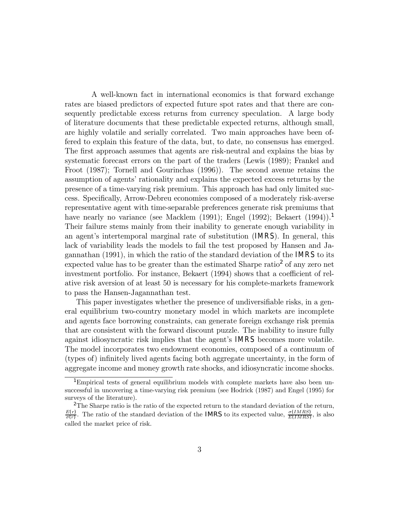A well-known fact in international economics is that forward exchange rates are biased predictors of expected future spot rates and that there are consequently predictable excess returns from currency speculation. A large body of literature documents that these predictable expected returns, although small, are highly volatile and serially correlated. Two main approaches have been offered to explain this feature of the data, but, to date, no consensus has emerged. The first approach assumes that agents are risk-neutral and explains the bias by systematic forecast errors on the part of the traders (Lewis (1989); Frankel and Froot (1987); Tornell and Gourinchas (1996)). The second avenue retains the assumption of agents' rationality and explains the expected excess returns by the presence of a time-varying risk premium. This approach has had only limited success. Specifically, Arrow-Debreu economies composed of a moderately risk-averse representative agent with time-separable preferences generate risk premiums that have nearly no variance (see Macklem  $(1991)$ ; Engel  $(1992)$ ; Bekaert  $(1994)$ ).<sup>1</sup> Their failure stems mainly from their inability to generate enough variability in an agent's intertemporal marginal rate of substitution (IMRS). In general, this lack of variability leads the models to fail the test proposed by Hansen and Jagannathan (1991), in which the ratio of the standard deviation of the IMRS to its expected value has to be greater than the estimated Sharpe ratio<sup>2</sup> of any zero net investment portfolio. For instance, Bekaert (1994) shows that a coefficient of relative risk aversion of at least 50 is necessary for his complete-markets framework to pass the Hansen-Jagannathan test.

This paper investigates whether the presence of undiversifiable risks, in a general equilibrium two-country monetary model in which markets are incomplete and agents face borrowing constraints, can generate foreign exchange risk premia that are consistent with the forward discount puzzle. The inability to insure fully against idiosyncratic risk implies that the agent's IMRS becomes more volatile. The model incorporates two endowment economies, composed of a continuum of (types of) infinitely lived agents facing both aggregate uncertainty, in the form of aggregate income and money growth rate shocks, and idiosyncratic income shocks.

<sup>&</sup>lt;sup>1</sup>Empirical tests of general equilibrium models with complete markets have also been unsuccessful in uncovering a time-varying risk premium (see Hodrick (1987) and Engel (1995) for surveys of the literature).

<sup>&</sup>lt;sup>2</sup>The Sharpe ratio is the ratio of the expected return to the standard deviation of the return,  $\frac{E(r)}{\sigma(r)}$ . The ratio of the standard deviation of the IMRS to its expected value,  $\frac{\sigma(IMRS)}{E(IMRS)}$ , is also called the market price of risk.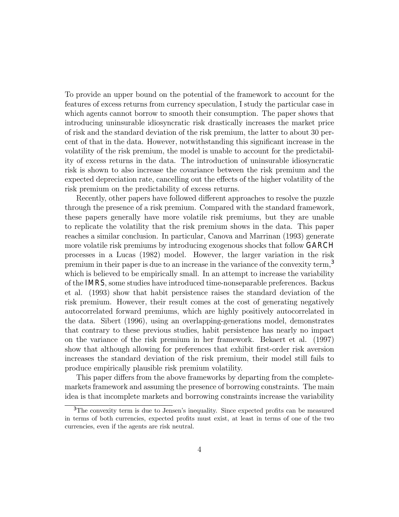To provide an upper bound on the potential of the framework to account for the features of excess returns from currency speculation, I study the particular case in which agents cannot borrow to smooth their consumption. The paper shows that introducing uninsurable idiosyncratic risk drastically increases the market price of risk and the standard deviation of the risk premium, the latter to about 30 percent of that in the data. However, notwithstanding this significant increase in the volatility of the risk premium, the model is unable to account for the predictability of excess returns in the data. The introduction of uninsurable idiosyncratic risk is shown to also increase the covariance between the risk premium and the expected depreciation rate, cancelling out the effects of the higher volatility of the risk premium on the predictability of excess returns.

Recently, other papers have followed different approaches to resolve the puzzle through the presence of a risk premium. Compared with the standard framework, these papers generally have more volatile risk premiums, but they are unable to replicate the volatility that the risk premium shows in the data. This paper reaches a similar conclusion. In particular, Canova and Marrinan (1993) generate more volatile risk premiums by introducing exogenous shocks that follow GARCH processes in a Lucas (1982) model. However, the larger variation in the risk premium in their paper is due to an increase in the variance of the convexity term,<sup>3</sup> which is believed to be empirically small. In an attempt to increase the variability of the IMRS, some studies have introduced time-nonseparable preferences. Backus et al. (1993) show that habit persistence raises the standard deviation of the risk premium. However, their result comes at the cost of generating negatively autocorrelated forward premiums, which are highly positively autocorrelated in the data. Sibert (1996), using an overlapping-generations model, demonstrates that contrary to these previous studies, habit persistence has nearly no impact on the variance of the risk premium in her framework. Bekaert et al. (1997) show that although allowing for preferences that exhibit first-order risk aversion increases the standard deviation of the risk premium, their model still fails to produce empirically plausible risk premium volatility.

This paper differs from the above frameworks by departing from the completemarkets framework and assuming the presence of borrowing constraints. The main idea is that incomplete markets and borrowing constraints increase the variability

<sup>&</sup>lt;sup>3</sup>The convexity term is due to Jensen's inequality. Since expected profits can be measured in terms of both currencies, expected profits must exist, at least in terms of one of the two currencies, even if the agents are risk neutral.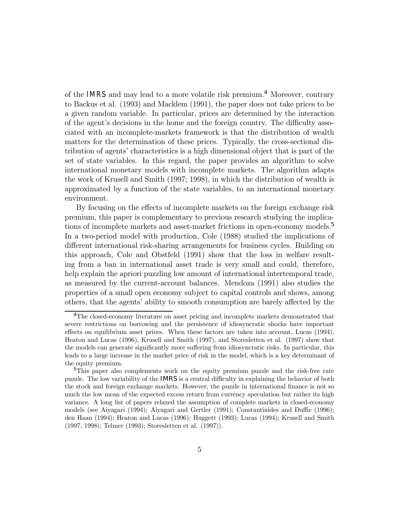of the IMRS and may lead to a more volatile risk premium.<sup>4</sup> Moreover, contrary to Backus et al. (1993) and Macklem (1991), the paper does not take prices to be a given random variable. In particular, prices are determined by the interaction of the agent's decisions in the home and the foreign country. The difficulty associated with an incomplete-markets framework is that the distribution of wealth matters for the determination of these prices. Typically, the cross-sectional distribution of agents' characteristics is a high dimensional object that is part of the set of state variables. In this regard, the paper provides an algorithm to solve international monetary models with incomplete markets. The algorithm adapts the work of Krusell and Smith (1997; 1998), in which the distribution of wealth is approximated by a function of the state variables, to an international monetary environment.

By focusing on the effects of incomplete markets on the foreign exchange risk premium, this paper is complementary to previous research studying the implications of incomplete markets and asset-market frictions in open-economy models.<sup>5</sup> In a two-period model with production, Cole (1988) studied the implications of different international risk-sharing arrangements for business cycles. Building on this approach, Cole and Obstfeld (1991) show that the loss in welfare resulting from a ban in international asset trade is very small and could, therefore, help explain the apriori puzzling low amount of international intertemporal trade, as measured by the current-account balances. Mendoza (1991) also studies the properties of a small open economy subject to capital controls and shows, among others, that the agents' ability to smooth consumption are barely affected by the

<sup>4</sup>The closed-economy literature on asset pricing and incomplete markets demonstrated that severe restrictions on borrowing and the persistence of idiosyncratic shocks have important effects on equilibrium asset prices. When these factors are taken into account, Lucas (1994), Heaton and Lucas (1996), Krusell and Smith (1997), and Storesletten et al. (1997) show that the models can generate significantly more suffering from idiosyncratic risks. In particular, this leads to a large increase in the market price of risk in the model, which is a key determinant of the equity premium.

<sup>5</sup>This paper also complements work on the equity premium puzzle and the risk-free rate puzzle. The low variability of the IMRS is a central difficulty in explaining the behavior of both the stock and foreign exchange markets. However, the puzzle in international finance is not so much the low mean of the expected excess return from currency speculation but rather its high variance. A long list of papers relaxed the assumption of complete markets in closed-economy models (see Aiyagari (1994); Aiyagari and Gertler (1991); Constantinides and Duffie (1996); den Haan (1994); Heaton and Lucas (1996); Huggett (1993); Lucas (1994); Krusell and Smith (1997, 1998); Telmer (1993); Storesletten et al. (1997)).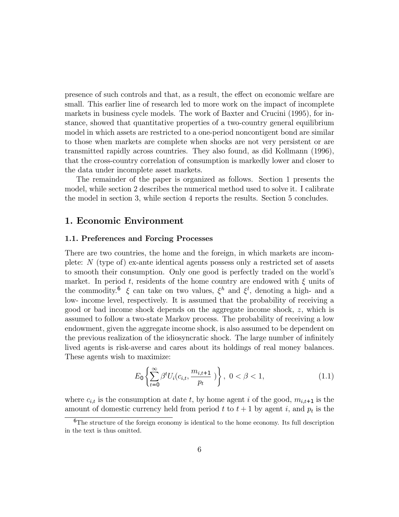presence of such controls and that, as a result, the effect on economic welfare are small. This earlier line of research led to more work on the impact of incomplete markets in business cycle models. The work of Baxter and Crucini (1995), for instance, showed that quantitative properties of a two-country general equilibrium model in which assets are restricted to a one-period noncontigent bond are similar to those when markets are complete when shocks are not very persistent or are transmitted rapidly across countries. They also found, as did Kollmann (1996), that the cross-country correlation of consumption is markedly lower and closer to the data under incomplete asset markets.

The remainder of the paper is organized as follows. Section 1 presents the model, while section 2 describes the numerical method used to solve it. I calibrate the model in section 3, while section 4 reports the results. Section 5 concludes.

## 1. Economic Environment

#### 1.1. Preferences and Forcing Processes

There are two countries, the home and the foreign, in which markets are incomplete: N (type of) ex-ante identical agents possess only a restricted set of assets to smooth their consumption. Only one good is perfectly traded on the world's market. In period t, residents of the home country are endowed with  $\xi$  units of the commodity.<sup>6</sup>  $\xi$  can take on two values,  $\xi^h$  and  $\xi^l$ , denoting a high- and a low- income level, respectively. It is assumed that the probability of receiving a good or bad income shock depends on the aggregate income shock, z, which is assumed to follow a two-state Markov process. The probability of receiving a low endowment, given the aggregate income shock, is also assumed to be dependent on the previous realization of the idiosyncratic shock. The large number of infinitely lived agents is risk-averse and cares about its holdings of real money balances. These agents wish to maximize:

$$
E_0\left\{\sum_{t=0}^{\infty} \beta^t U_i(c_{i,t}, \frac{m_{i,t+1}}{p_t})\right\}, \ 0 < \beta < 1,
$$
\n(1.1)

where  $c_{i,t}$  is the consumption at date t, by home agent i of the good,  $m_{i,t+1}$  is the amount of domestic currency held from period t to  $t + 1$  by agent i, and  $p_t$  is the

<sup>6</sup>The structure of the foreign economy is identical to the home economy. Its full description in the text is thus omitted.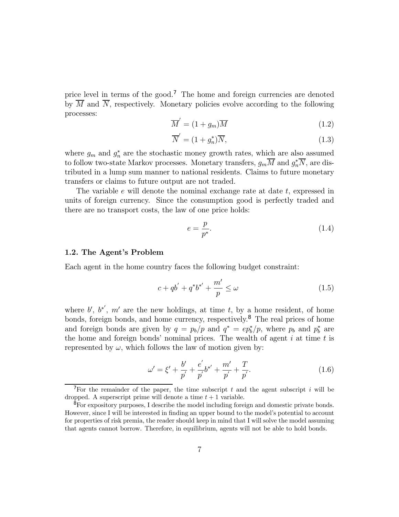price level in terms of the good.<sup>7</sup> The home and foreign currencies are denoted by  $\overline{M}$  and  $\overline{N}$ , respectively. Monetary policies evolve according to the following processes:

$$
\overline{M}' = (1 + g_m)\overline{M} \tag{1.2}
$$

$$
\overline{N}' = (1 + g_n^*)\overline{N},\tag{1.3}
$$

where  $g_m$  and  $g_n^*$  are the stochastic money growth rates, which are also assumed to follow two-state Markov processes. Monetary transfers,  $g_m M$  and  $g_n^* N$ , are distributed in a lump sum manner to national residents. Claims to future monetary transfers or claims to future output are not traded.

The variable e will denote the nominal exchange rate at date t, expressed in units of foreign currency. Since the consumption good is perfectly traded and there are no transport costs, the law of one price holds:

$$
e = \frac{p}{p^*}.\tag{1.4}
$$

#### 1.2. The Agent's Problem

Each agent in the home country faces the following budget constraint:

$$
c + qb' + q^*b^{*'} + \frac{m'}{p} \le \omega \tag{1.5}
$$

where  $b', b^*, m'$  are the new holdings, at time t, by a home resident, of home bonds, foreign bonds, and home currency, respectively.<sup>8</sup> The real prices of home and foreign bonds are given by  $q = p_b/p$  and  $q^* = ep_b^*/p$ , where  $p_b$  and  $p_b^*$  are the home and foreign bonds' nominal prices. The wealth of agent  $i$  at time  $t$  is represented by  $\omega$ , which follows the law of motion given by:

$$
\omega' = \xi' + \frac{b'}{p'} + \frac{e'}{p'}b^{*'} + \frac{m'}{p'} + \frac{T}{p'}.
$$
\n(1.6)

<sup>&</sup>lt;sup>7</sup>For the remainder of the paper, the time subscript t and the agent subscript i will be dropped. A superscript prime will denote a time  $t + 1$  variable.

<sup>8</sup>For expository purposes, I describe the model including foreign and domestic private bonds. However, since I will be interested in finding an upper bound to the model's potential to account for properties of risk premia, the reader should keep in mind that I will solve the model assuming that agents cannot borrow. Therefore, in equilibrium, agents will not be able to hold bonds.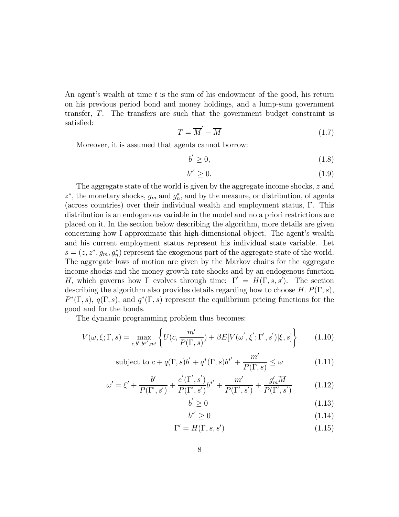An agent's wealth at time t is the sum of his endowment of the good, his return on his previous period bond and money holdings, and a lump-sum government transfer, T. The transfers are such that the government budget constraint is satisfied:

$$
T = \overline{M}' - \overline{M} \tag{1.7}
$$

Moreover, it is assumed that agents cannot borrow:

$$
b' \ge 0,\tag{1.8}
$$

$$
b^{*'} \ge 0. \tag{1.9}
$$

The aggregate state of the world is given by the aggregate income shocks, z and  $z^*$ , the monetary shocks,  $g_m$  and  $g_n^*$ , and by the measure, or distribution, of agents (across countries) over their individual wealth and employment status, Γ. This distribution is an endogenous variable in the model and no a priori restrictions are placed on it. In the section below describing the algorithm, more details are given concerning how I approximate this high-dimensional object. The agent's wealth and his current employment status represent his individual state variable. Let  $s = (z, z^*, g_m, g_n^*)$  represent the exogenous part of the aggregate state of the world. The aggregate laws of motion are given by the Markov chains for the aggregate income shocks and the money growth rate shocks and by an endogenous function H, which governs how  $\Gamma$  evolves through time:  $\Gamma' = H(\Gamma, s, s')$ . The section describing the algorithm also provides details regarding how to choose  $H. P(\Gamma, s)$ ,  $P^*(\Gamma, s)$ ,  $q(\Gamma, s)$ , and  $q^*(\Gamma, s)$  represent the equilibrium pricing functions for the good and for the bonds.

The dynamic programming problem thus becomes:

$$
V(\omega,\xi;\Gamma,s) = \max_{c,b',b^{*'},m'} \left\{ U(c,\frac{m'}{P(\Gamma,s)}) + \beta E[V(\omega',\xi';\Gamma',s')] \xi,s] \right\}
$$
(1.10)

subject to 
$$
c + q(\Gamma, s)b' + q^*(\Gamma, s)b^{*'} + \frac{m'}{P(\Gamma, s)} \le \omega
$$
 (1.11)

$$
\omega' = \xi' + \frac{b'}{P(\Gamma', s')} + \frac{e'(\Gamma', s')}{P(\Gamma', s')} b^{*'} + \frac{m'}{P(\Gamma', s')} + \frac{g'_m \overline{M}}{P(\Gamma', s')} \tag{1.12}
$$

$$
b' \ge 0 \tag{1.13}
$$

$$
b^{*'} \ge 0 \tag{1.14}
$$

$$
\Gamma' = H(\Gamma, s, s') \tag{1.15}
$$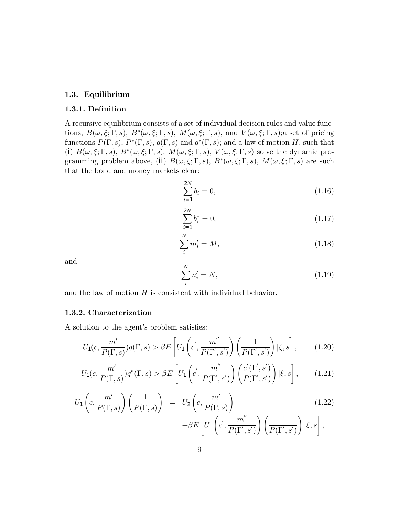### 1.3. Equilibrium

#### 1.3.1. Definition

A recursive equilibrium consists of a set of individual decision rules and value functions,  $B(\omega,\xi;\Gamma,s)$ ,  $B^*(\omega,\xi;\Gamma,s)$ ,  $M(\omega,\xi;\Gamma,s)$ , and  $V(\omega,\xi;\Gamma,s)$ ; a set of pricing functions  $P(\Gamma, s)$ ,  $P^*(\Gamma, s)$ ,  $q(\Gamma, s)$  and  $q^*(\Gamma, s)$ ; and a law of motion H, such that (i)  $B(\omega, \xi; \Gamma, s)$ ,  $B^*(\omega, \xi; \Gamma, s)$ ,  $M(\omega, \xi; \Gamma, s)$ ,  $V(\omega, \xi; \Gamma, s)$  solve the dynamic programming problem above, (ii)  $B(\omega,\xi;\Gamma,s)$ ,  $B^*(\omega,\xi;\Gamma,s)$ ,  $M(\omega,\xi;\Gamma,s)$  are such that the bond and money markets clear:

$$
\sum_{i=1}^{2N} b_i = 0,\t\t(1.16)
$$

$$
\sum_{i=1}^{2N} b_i^* = 0,\t\t(1.17)
$$

$$
\sum_{i}^{N} m'_{i} = \overline{M},\tag{1.18}
$$

and

$$
\sum_{i}^{N} n'_{i} = \overline{N},\tag{1.19}
$$

and the law of motion  $H$  is consistent with individual behavior.

#### 1.3.2. Characterization

A solution to the agent's problem satisfies:

$$
U_1(c, \frac{m'}{P(\Gamma, s)})q(\Gamma, s) > \beta E\left[U_1\left(c', \frac{m''}{P(\Gamma', s')}\right)\left(\frac{1}{P(\Gamma', s')}\right)|\xi, s\right],\tag{1.20}
$$

$$
U_1(c, \frac{m'}{P(\Gamma, s)})q^*(\Gamma, s) > \beta E\left[U_1\left(c', \frac{m''}{P(\Gamma', s')}\right)\left(\frac{e'(\Gamma', s')}{P(\Gamma', s')}\right)|\xi, s\right],\qquad(1.21)
$$

$$
U_1\left(c, \frac{m'}{P(\Gamma, s)}\right)\left(\frac{1}{P(\Gamma, s)}\right) = U_2\left(c, \frac{m'}{P(\Gamma, s)}\right) + \beta E\left[U_1\left(c', \frac{m''}{P(\Gamma', s')}\right)\left(\frac{1}{P(\Gamma', s')}\right)|\xi, s\right],
$$
\n(1.22)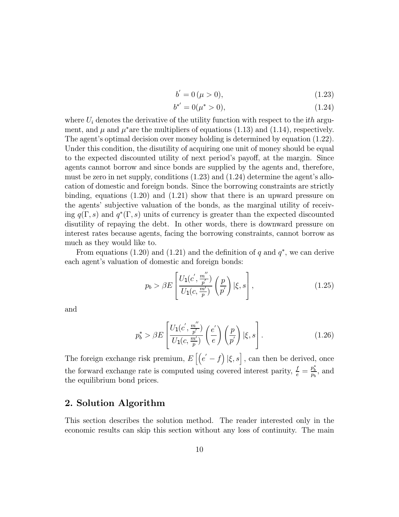$$
b' = 0 \, (\mu > 0), \tag{1.23}
$$

$$
b^{*'} = 0(\mu^* > 0),\tag{1.24}
$$

where  $U_i$  denotes the derivative of the utility function with respect to the ith argument, and  $\mu$  and  $\mu^*$  are the multipliers of equations (1.13) and (1.14), respectively. The agent's optimal decision over money holding is determined by equation (1.22). Under this condition, the disutility of acquiring one unit of money should be equal to the expected discounted utility of next period's payoff, at the margin. Since agents cannot borrow and since bonds are supplied by the agents and, therefore, must be zero in net supply, conditions (1.23) and (1.24) determine the agent's allocation of domestic and foreign bonds. Since the borrowing constraints are strictly binding, equations (1.20) and (1.21) show that there is an upward pressure on the agents' subjective valuation of the bonds, as the marginal utility of receiving  $q(\Gamma, s)$  and  $q^*(\Gamma, s)$  units of currency is greater than the expected discounted disutility of repaying the debt. In other words, there is downward pressure on interest rates because agents, facing the borrowing constraints, cannot borrow as much as they would like to.

From equations (1.20) and (1.21) and the definition of q and  $q^*$ , we can derive each agent's valuation of domestic and foreign bonds:

$$
p_b > \beta E\left[\frac{U_1(c', \frac{m''}{p'})}{U_1(c, \frac{m'}{p})}\left(\frac{p}{p'}\right)|\xi, s\right],\tag{1.25}
$$

and

$$
p_b^* > \beta E\left[\frac{U_1(c', \frac{m''}{p'})}{U_1(c, \frac{m'}{p})}\left(\frac{e'}{e}\right)\left(\frac{p}{p'}\right)|\xi, s\right].
$$
 (1.26)

The foreign exchange risk premium,  $E\left[\left(e^{'}-f\right)|\xi,s\right]$ , can then be derived, once the forward exchange rate is computed using covered interest parity,  $\frac{f}{e} = \frac{p_b^*}{p_b}$ , and the equilibrium bond prices.

## 2. Solution Algorithm

This section describes the solution method. The reader interested only in the economic results can skip this section without any loss of continuity. The main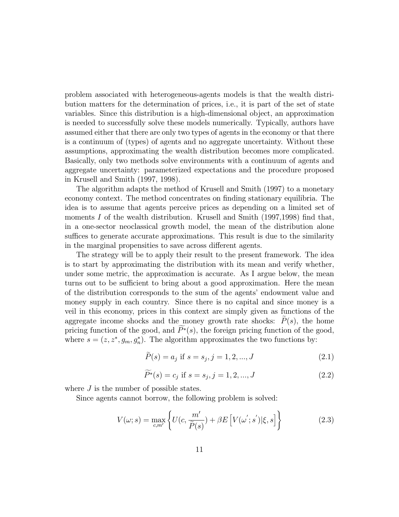problem associated with heterogeneous-agents models is that the wealth distribution matters for the determination of prices, i.e., it is part of the set of state variables. Since this distribution is a high-dimensional object, an approximation is needed to successfully solve these models numerically. Typically, authors have assumed either that there are only two types of agents in the economy or that there is a continuum of (types) of agents and no aggregate uncertainty. Without these assumptions, approximating the wealth distribution becomes more complicated. Basically, only two methods solve environments with a continuum of agents and aggregate uncertainty: parameterized expectations and the procedure proposed in Krusell and Smith (1997, 1998).

The algorithm adapts the method of Krusell and Smith (1997) to a monetary economy context. The method concentrates on finding stationary equilibria. The idea is to assume that agents perceive prices as depending on a limited set of moments I of the wealth distribution. Krusell and Smith (1997,1998) find that, in a one-sector neoclassical growth model, the mean of the distribution alone suffices to generate accurate approximations. This result is due to the similarity in the marginal propensities to save across different agents.

The strategy will be to apply their result to the present framework. The idea is to start by approximating the distribution with its mean and verify whether, under some metric, the approximation is accurate. As I argue below, the mean turns out to be sufficient to bring about a good approximation. Here the mean of the distribution corresponds to the sum of the agents' endowment value and money supply in each country. Since there is no capital and since money is a veil in this economy, prices in this context are simply given as functions of the aggregate income shocks and the money growth rate shocks:  $P(s)$ , the home pricing function of the good, and  $P^*(s)$ , the foreign pricing function of the good, where  $s = (z, z^*, g_m, g_n^*)$ . The algorithm approximates the two functions by:

$$
\tilde{P}(s) = a_j \text{ if } s = s_j, j = 1, 2, ..., J \tag{2.1}
$$

$$
\widetilde{P^*}(s) = c_j \text{ if } s = s_j, j = 1, 2, ..., J \tag{2.2}
$$

where  $J$  is the number of possible states.

Since agents cannot borrow, the following problem is solved:

$$
V(\omega;s) = \max_{c,m'} \left\{ U(c, \frac{m'}{\tilde{P}(s)}) + \beta E \left[ V(\omega';s')|\xi, s \right] \right\}
$$
 (2.3)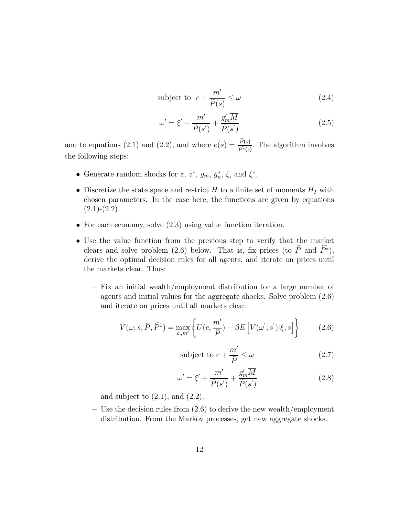subject to 
$$
c + \frac{m'}{\tilde{P}(s)} \le \omega
$$
 (2.4)

$$
\omega' = \xi' + \frac{m'}{\widetilde{P}(s')} + \frac{g'_m \overline{M}}{\widetilde{P}(s')}
$$
\n(2.5)

and to equations (2.1) and (2.2), and where  $e(s) = \frac{P(s)}{\widetilde{P^*}(s)}$ . The algorithm involves the following steps:

- Generate random shocks for  $z, z^*, g_m, g_n^*, \xi$ , and  $\xi^*$ .
- Discretize the state space and restrict  $H$  to a finite set of moments  $H_I$  with chosen parameters. In the case here, the functions are given by equations  $(2.1)-(2.2).$
- For each economy, solve  $(2.3)$  using value function iteration.
- Use the value function from the previous step to verify that the market clears and solve problem  $(2.6)$  below. That is, fix prices (to P and  $P^*$ ), derive the optimal decision rules for all agents, and iterate on prices until the markets clear. Thus:
	- Fix an initial wealth/employment distribution for a large number of agents and initial values for the aggregate shocks. Solve problem (2.6) and iterate on prices until all markets clear.

$$
\widetilde{V}(\omega;s,\widehat{P},\widehat{P^*}) = \max_{c,m'} \left\{ U(c,\frac{m'}{\widehat{P}}) + \beta E \left[ V(\omega';s')|\xi,s \right] \right\} \tag{2.6}
$$

subject to 
$$
c + \frac{m'}{\hat{P}} \le \omega
$$
 (2.7)

$$
\omega' = \xi' + \frac{m'}{\widetilde{P}(s')} + \frac{g'_m \overline{M}}{\widetilde{P}(s')}
$$
\n(2.8)

and subject to  $(2.1)$ , and  $(2.2)$ .

 $-$  Use the decision rules from  $(2.6)$  to derive the new wealth/employment distribution. From the Markov processes, get new aggregate shocks.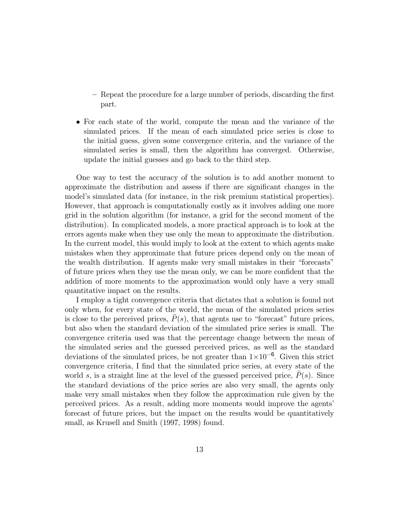- Repeat the procedure for a large number of periods, discarding the first part.
- For each state of the world, compute the mean and the variance of the simulated prices. If the mean of each simulated price series is close to the initial guess, given some convergence criteria, and the variance of the simulated series is small, then the algorithm has converged. Otherwise, update the initial guesses and go back to the third step.

One way to test the accuracy of the solution is to add another moment to approximate the distribution and assess if there are significant changes in the model's simulated data (for instance, in the risk premium statistical properties). However, that approach is computationally costly as it involves adding one more grid in the solution algorithm (for instance, a grid for the second moment of the distribution). In complicated models, a more practical approach is to look at the errors agents make when they use only the mean to approximate the distribution. In the current model, this would imply to look at the extent to which agents make mistakes when they approximate that future prices depend only on the mean of the wealth distribution. If agents make very small mistakes in their "forecasts" of future prices when they use the mean only, we can be more confident that the addition of more moments to the approximation would only have a very small quantitative impact on the results.

I employ a tight convergence criteria that dictates that a solution is found not only when, for every state of the world, the mean of the simulated prices series is close to the perceived prices,  $P(s)$ , that agents use to "forecast" future prices, but also when the standard deviation of the simulated price series is small. The convergence criteria used was that the percentage change between the mean of the simulated series and the guessed perceived prices, as well as the standard deviations of the simulated prices, be not greater than  $1\times10^{-6}$ . Given this strict convergence criteria, I find that the simulated price series, at every state of the world s, is a straight line at the level of the guessed perceived price,  $P(s)$ . Since the standard deviations of the price series are also very small, the agents only make very small mistakes when they follow the approximation rule given by the perceived prices. As a result, adding more moments would improve the agents' forecast of future prices, but the impact on the results would be quantitatively small, as Krusell and Smith (1997, 1998) found.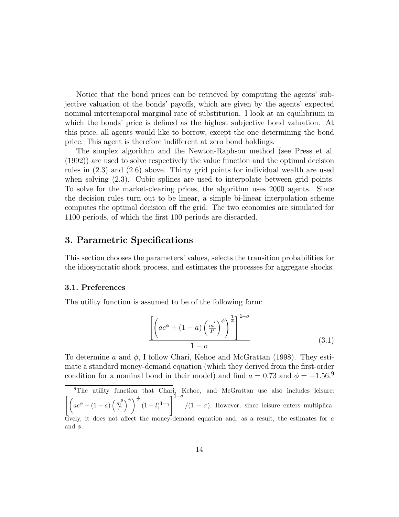Notice that the bond prices can be retrieved by computing the agents' subjective valuation of the bonds' payoffs, which are given by the agents' expected nominal intertemporal marginal rate of substitution. I look at an equilibrium in which the bonds' price is defined as the highest subjective bond valuation. At this price, all agents would like to borrow, except the one determining the bond price. This agent is therefore indifferent at zero bond holdings.

The simplex algorithm and the Newton-Raphson method (see Press et al. (1992)) are used to solve respectively the value function and the optimal decision rules in (2.3) and (2.6) above. Thirty grid points for individual wealth are used when solving (2.3). Cubic splines are used to interpolate between grid points. To solve for the market-clearing prices, the algorithm uses 2000 agents. Since the decision rules turn out to be linear, a simple bi-linear interpolation scheme computes the optimal decision off the grid. The two economies are simulated for 1100 periods, of which the first 100 periods are discarded.

## 3. Parametric Specifications

This section chooses the parameters' values, selects the transition probabilities for the idiosyncratic shock process, and estimates the processes for aggregate shocks.

#### 3.1. Preferences

The utility function is assumed to be of the following form:

$$
\left[ \left( ac^{\phi} + (1 - a) \left( \frac{m'}{P} \right)^{\phi} \right)^{\frac{1}{\phi}} \right]^{1 - \sigma} \tag{3.1}
$$

To determine a and  $\phi$ , I follow Chari, Kehoe and McGrattan (1998). They estimate a standard money-demand equation (which they derived from the first-order condition for a nominal bond in their model) and find  $a = 0.73$  and  $\phi = -1.56$ .<sup>9</sup>

<sup>9</sup>The utility function that Chari, Kehoe, and McGrattan use also includes leisure:  $\lceil$  $ac^{\phi} + (1-a)\left(\frac{m^0}{P}\right)$  $\int^{\phi}$  $\int^{\frac{\gamma}{\phi}} (1 - l)^{1 - \gamma}$  $1^{-\sigma}$  $/(1 - \sigma)$ . However, since leisure enters multiplicatively, it does not affect the money-demand equation and, as a result, the estimates for a and  $\phi$ .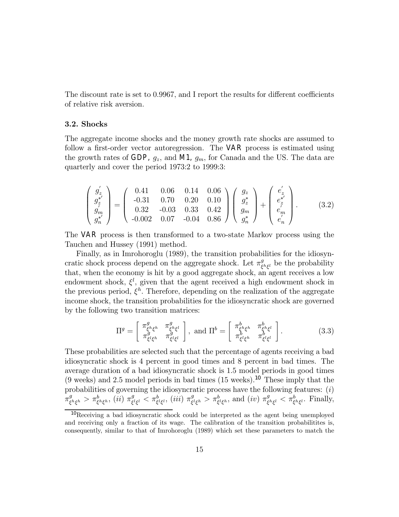The discount rate is set to 0.9967, and I report the results for different coefficients of relative risk aversion.

#### 3.2. Shocks

The aggregate income shocks and the money growth rate shocks are assumed to follow a first-order vector autoregression. The VAR process is estimated using the growth rates of GDP,  $g_z$ , and M1,  $g_m$ , for Canada and the US. The data are quarterly and cover the period 1973:2 to 1999:3:

$$
\begin{pmatrix} g'_z \\ g^{*\prime}_z \\ g'_m \\ g^{*\prime}_n \end{pmatrix} = \begin{pmatrix} 0.41 & 0.06 & 0.14 & 0.06 \\ -0.31 & 0.70 & 0.20 & 0.10 \\ 0.32 & -0.03 & 0.33 & 0.42 \\ -0.002 & 0.07 & -0.04 & 0.86 \end{pmatrix} \begin{pmatrix} g_z \\ g^*_z \\ g_m \\ g^*_n \end{pmatrix} + \begin{pmatrix} e'_z \\ e^{*\prime}_z \\ e'_m \\ e'_n \end{pmatrix} . \tag{3.2}
$$

The VAR process is then transformed to a two-state Markov process using the Tauchen and Hussey (1991) method.

Finally, as in Imrohoroglu (1989), the transition probabilities for the idiosyncratic shock process depend on the aggregate shock. Let  $\pi_{\xi h \xi^l}^g$  be the probability that, when the economy is hit by a good aggregate shock, an agent receives a low endowment shock,  $\xi^l$ , given that the agent received a high endowment shock in the previous period,  $\xi^h$ . Therefore, depending on the realization of the aggregate income shock, the transition probabilities for the idiosyncratic shock are governed by the following two transition matrices:

$$
\Pi^g = \begin{bmatrix} \pi_{\xi^h\xi^h}^g & \pi_{\xi^h\xi^l}^g \\ \pi_{\xi^l\xi^h}^g & \pi_{\xi^l\xi^l}^g \end{bmatrix}, \text{ and } \Pi^b = \begin{bmatrix} \pi_{\xi^h\xi^h}^b & \pi_{\xi^h\xi^l}^b \\ \pi_{\xi^l\xi^h}^b & \pi_{\xi^l\xi^l}^b \end{bmatrix}.
$$
 (3.3)

These probabilities are selected such that the percentage of agents receiving a bad idiosyncratic shock is 4 percent in good times and 8 percent in bad times. The average duration of a bad idiosyncratic shock is 1.5 model periods in good times  $(9 \text{ weeks})$  and 2.5 model periods in bad times  $(15 \text{ weeks})$ .<sup>10</sup> These imply that the probabilities of governing the idiosyncratic process have the following features:  $(i)$  $\pi_{\xi^h\xi^h}^g > \pi_{\xi^h\xi^h}^b$ , (ii)  $\pi_{\xi^l\xi^l}^g < \pi_{\xi^l\xi^l}^b$ , (iii)  $\pi_{\xi^l\xi^h}^g > \pi_{\xi^l\xi^h}^b$ , and (iv)  $\pi_{\xi^h\xi^l}^g < \pi_{\xi^h\xi^l}^b$ . Finally,

<sup>&</sup>lt;sup>10</sup>Receiving a bad idiosyncratic shock could be interpreted as the agent being unemployed and receiving only a fraction of its wage. The calibration of the transition probabilitites is, consequently, similar to that of Imrohoroglu (1989) which set these parameters to match the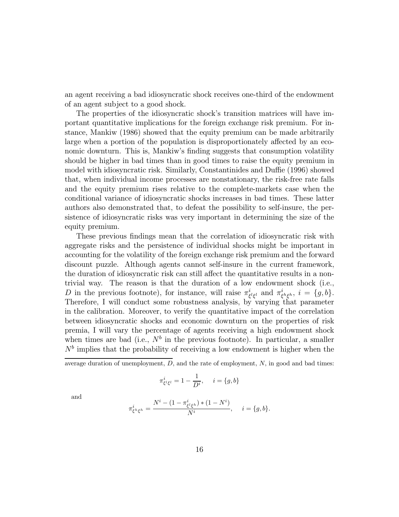an agent receiving a bad idiosyncratic shock receives one-third of the endowment of an agent subject to a good shock.

The properties of the idiosyncratic shock's transition matrices will have important quantitative implications for the foreign exchange risk premium. For instance, Mankiw (1986) showed that the equity premium can be made arbitrarily large when a portion of the population is disproportionately affected by an economic downturn. This is, Mankiw's finding suggests that consumption volatility should be higher in bad times than in good times to raise the equity premium in model with idiosyncratic risk. Similarly, Constantinides and Duffie (1996) showed that, when individual income processes are nonstationary, the risk-free rate falls and the equity premium rises relative to the complete-markets case when the conditional variance of idiosyncratic shocks increases in bad times. These latter authors also demonstrated that, to defeat the possibility to self-insure, the persistence of idiosyncratic risks was very important in determining the size of the equity premium.

These previous findings mean that the correlation of idiosyncratic risk with aggregate risks and the persistence of individual shocks might be important in accounting for the volatility of the foreign exchange risk premium and the forward discount puzzle. Although agents cannot self-insure in the current framework, the duration of idiosyncratic risk can still affect the quantitative results in a nontrivial way. The reason is that the duration of a low endowment shock (i.e., D in the previous footnote), for instance, will raise  $\pi_{\xi^l\xi^l}^i$  and  $\pi_{\xi^h\xi^h}^i$ ,  $i = \{g, b\}.$ Therefore, I will conduct some robustness analysis, by varying that parameter in the calibration. Moreover, to verify the quantitative impact of the correlation between idiosyncratic shocks and economic downturn on the properties of risk premia, I will vary the percentage of agents receiving a high endowment shock when times are bad (i.e.,  $N^b$  in the previous footnote). In particular, a smaller  $N<sup>b</sup>$  implies that the probability of receiving a low endowment is higher when the

average duration of unemployment,  $D$ , and the rate of employment,  $N$ , in good and bad times:

$$
\pi_{\xi^l \xi^l}^i = 1 - \frac{1}{D^i}, \quad i = \{g, b\}
$$

and

$$
\pi^i_{\xi^h\xi^h}=\frac{N^i-(1-\pi^i_{\xi^l\xi^h})*(1-N^i)}{N^i},\quad i=\{g,b\}.
$$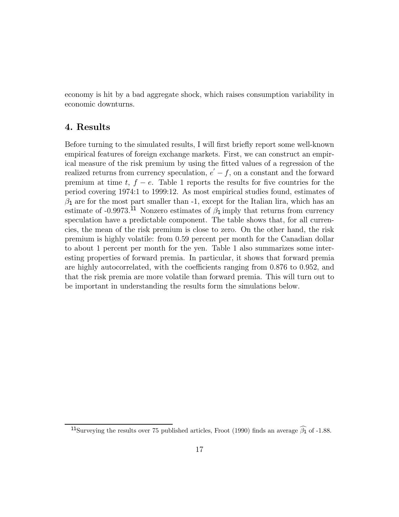economy is hit by a bad aggregate shock, which raises consumption variability in economic downturns.

## 4. Results

Before turning to the simulated results, I will first briefly report some well-known empirical features of foreign exchange markets. First, we can construct an empirical measure of the risk premium by using the fitted values of a regression of the realized returns from currency speculation,  $e' - f$ , on a constant and the forward premium at time t,  $f - e$ . Table 1 reports the results for five countries for the period covering 1974:1 to 1999:12. As most empirical studies found, estimates of  $\beta_1$  are for the most part smaller than -1, except for the Italian lira, which has an estimate of -0.9973.<sup>11</sup> Nonzero estimates of  $\beta_1$  imply that returns from currency speculation have a predictable component. The table shows that, for all currencies, the mean of the risk premium is close to zero. On the other hand, the risk premium is highly volatile: from 0.59 percent per month for the Canadian dollar to about 1 percent per month for the yen. Table 1 also summarizes some interesting properties of forward premia. In particular, it shows that forward premia are highly autocorrelated, with the coefficients ranging from 0.876 to 0.952, and that the risk premia are more volatile than forward premia. This will turn out to be important in understanding the results form the simulations below.

<sup>&</sup>lt;sup>11</sup>Surveying the results over 75 published articles, Froot (1990) finds an average  $\widehat{\beta_1}$  of -1.88.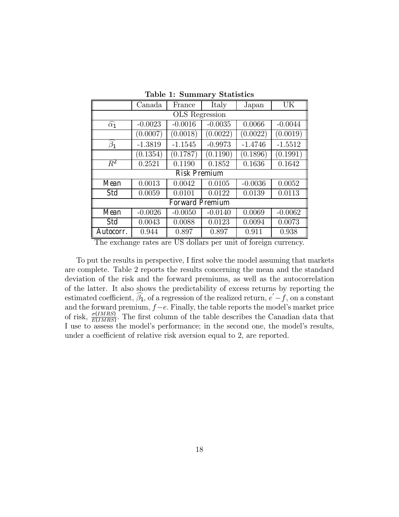|                                 | Canada    | France              | Italy     | Japan     | UK        |  |  |  |
|---------------------------------|-----------|---------------------|-----------|-----------|-----------|--|--|--|
| OLS Regression                  |           |                     |           |           |           |  |  |  |
| $\overline{\widehat{\alpha_1}}$ | $-0.0023$ | $-0.0016$           | $-0.0035$ | 0.0066    | $-0.0044$ |  |  |  |
|                                 | (0.0007)  | (0.0018)            | (0.0022)  | (0.0022)  | (0.0019)  |  |  |  |
| $\beta_1$                       | $-1.3819$ | $-1.1545$           | $-0.9973$ | $-1.4746$ | $-1.5512$ |  |  |  |
|                                 | (0.1354)  | (0.1787)            | (0.1190)  | (0.1896)  | (0.1991)  |  |  |  |
| $R^2$                           | 0.2521    | 0.1190              | 0.1852    | 0.1636    | 0.1642    |  |  |  |
|                                 |           | <b>Risk Premium</b> |           |           |           |  |  |  |
| Mean                            | 0.0013    | 0.0042              | 0.0105    | $-0.0036$ | 0.0052    |  |  |  |
| Std                             | 0.0059    | 0.0101              | 0.0122    | 0.0139    | 0.0113    |  |  |  |
| <b>Forward Premium</b>          |           |                     |           |           |           |  |  |  |
| Mean                            | $-0.0026$ | $-0.0050$           | $-0.0140$ | 0.0069    | $-0.0062$ |  |  |  |
| Std                             | 0.0043    | 0.0088              | 0.0123    | 0.0094    | 0.0073    |  |  |  |
| Autocorr.                       | 0.944     | 0.897               | 0.897     | 0.911     | 0.938     |  |  |  |

Table 1: Summary Statistics

The exchange rates are US dollars per unit of foreign currency.

To put the results in perspective, I first solve the model assuming that markets are complete. Table 2 reports the results concerning the mean and the standard deviation of the risk and the forward premiums, as well as the autocorrelation of the latter. It also shows the predictability of excess returns by reporting the estimated coefficient,  $\beta_1$ , of a regression of the realized return,  $e'-f$ , on a constant and the forward premium,  $f-e$ . Finally, the table reports the model's market price of risk,  $\frac{\sigma(IMRS)}{E(IMRS)}$ . The first column of the table describes the Canadian data that I use to assess the model's performance; in the second one, the model's results, under a coefficient of relative risk aversion equal to 2, are reported.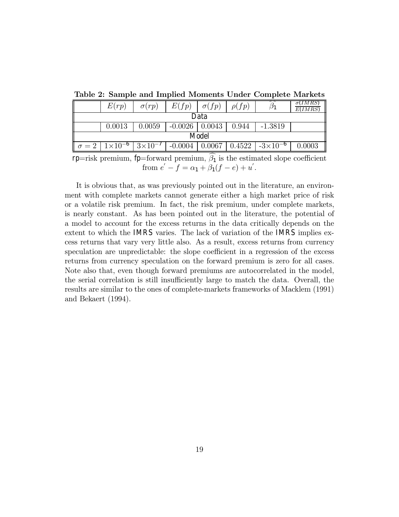|       | E(rp)                              | $\sigma (rp)$      | E(fp)     | $\sigma(fp)$  | $\rho(fp)$ |                   | $\sigma (IMRS)$<br>E(IMRS) |
|-------|------------------------------------|--------------------|-----------|---------------|------------|-------------------|----------------------------|
|       | Data                               |                    |           |               |            |                   |                            |
|       | 0.0013                             | 0.0059             | $-0.0026$ | $\mid 0.0043$ | 0.944      | $-1.3819$         |                            |
| Model |                                    |                    |           |               |            |                   |                            |
|       | $\sigma = 2 \mid 1 \times 10^{-6}$ | $3 \times 10^{-7}$ | $-0.0004$ | 0.0067        | 0.4522     | $-3\times10^{-6}$ | 0.0003                     |

Table 2: Sample and Implied Moments Under Complete Markets

rp=risk premium, fp=forward premium,  $\beta_1$  is the estimated slope coefficient from  $e' - f = \alpha_1 + \beta_1(f - e) + u'$ .

It is obvious that, as was previously pointed out in the literature, an environment with complete markets cannot generate either a high market price of risk or a volatile risk premium. In fact, the risk premium, under complete markets, is nearly constant. As has been pointed out in the literature, the potential of a model to account for the excess returns in the data critically depends on the extent to which the IMRS varies. The lack of variation of the IMRS implies excess returns that vary very little also. As a result, excess returns from currency speculation are unpredictable: the slope coefficient in a regression of the excess returns from currency speculation on the forward premium is zero for all cases. Note also that, even though forward premiums are autocorrelated in the model, the serial correlation is still insufficiently large to match the data. Overall, the results are similar to the ones of complete-markets frameworks of Macklem (1991) and Bekaert (1994).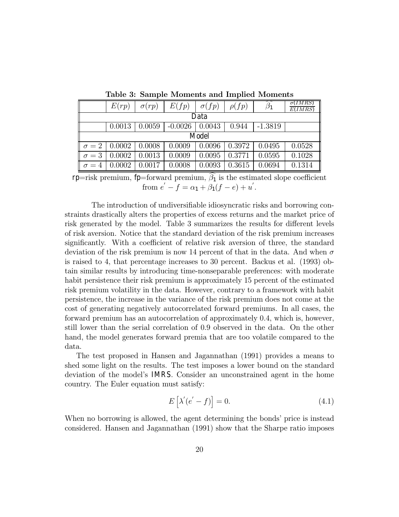|              | E(rp)  | $\sigma (rp)$ | E(fp)     | $\sigma(fp)$ | $\rho(fp)$ | $\beta_1$ | $\sigma (IMRS)$<br>E(IMRS) |  |
|--------------|--------|---------------|-----------|--------------|------------|-----------|----------------------------|--|
|              | Data   |               |           |              |            |           |                            |  |
|              | 0.0013 | 0.0059        | $-0.0026$ | 0.0043       | 0.944      | $-1.3819$ |                            |  |
|              | Model  |               |           |              |            |           |                            |  |
| $\sigma = 2$ | 0.0002 | 0.0008        | 0.0009    | 0.0096       | 0.3972     | 0.0495    | 0.0528                     |  |
| $\sigma = 3$ | 0.0002 | 0.0013        | 0.0009    | 0.0095       | 0.3771     | 0.0595    | 0.1028                     |  |
| $=$          | 0.0002 | 0.0017        | 0.0008    | 0.0093       | 0.3615     | 0.0694    | 0.1314                     |  |

Table 3: Sample Moments and Implied Moments

rp=risk premium, fp=forward premium,  $\beta_1$  is the estimated slope coefficient from  $e' - f = \alpha_1 + \beta_1(f - e) + u'$ .

The introduction of undiversifiable idiosyncratic risks and borrowing constraints drastically alters the properties of excess returns and the market price of risk generated by the model. Table 3 summarizes the results for different levels of risk aversion. Notice that the standard deviation of the risk premium increases significantly. With a coefficient of relative risk aversion of three, the standard deviation of the risk premium is now 14 percent of that in the data. And when  $\sigma$ is raised to 4, that percentage increases to 30 percent. Backus et al. (1993) obtain similar results by introducing time-nonseparable preferences: with moderate habit persistence their risk premium is approximately 15 percent of the estimated risk premium volatility in the data. However, contrary to a framework with habit persistence, the increase in the variance of the risk premium does not come at the cost of generating negatively autocorrelated forward premiums. In all cases, the forward premium has an autocorrelation of approximately 0.4, which is, however, still lower than the serial correlation of 0.9 observed in the data. On the other hand, the model generates forward premia that are too volatile compared to the data.

The test proposed in Hansen and Jagannathan (1991) provides a means to shed some light on the results. The test imposes a lower bound on the standard deviation of the model's IMRS. Consider an unconstrained agent in the home country. The Euler equation must satisfy:

$$
E\left[\lambda'(e'-f)\right] = 0.\tag{4.1}
$$

When no borrowing is allowed, the agent determining the bonds' price is instead considered. Hansen and Jagannathan (1991) show that the Sharpe ratio imposes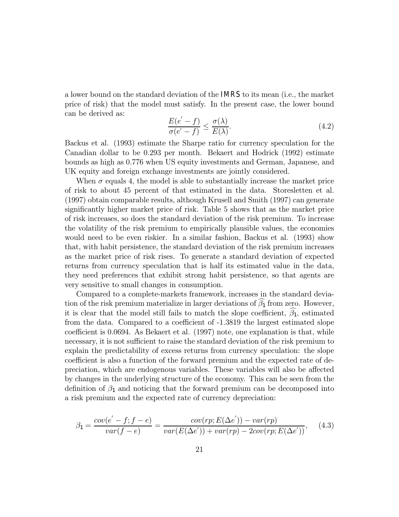a lower bound on the standard deviation of the IMRS to its mean (i.e., the market price of risk) that the model must satisfy. In the present case, the lower bound can be derived as:

$$
\frac{E(e'-f)}{\sigma(e'-f)} \le \frac{\sigma(\lambda)}{E(\lambda)}.\tag{4.2}
$$

Backus et al. (1993) estimate the Sharpe ratio for currency speculation for the Canadian dollar to be 0.293 per month. Bekaert and Hodrick (1992) estimate bounds as high as 0.776 when US equity investments and German, Japanese, and UK equity and foreign exchange investments are jointly considered.

When  $\sigma$  equals 4, the model is able to substantially increase the market price of risk to about 45 percent of that estimated in the data. Storesletten et al. (1997) obtain comparable results, although Krusell and Smith (1997) can generate significantly higher market price of risk. Table 5 shows that as the market price of risk increases, so does the standard deviation of the risk premium. To increase the volatility of the risk premium to empirically plausible values, the economies would need to be even riskier. In a similar fashion, Backus et al. (1993) show that, with habit persistence, the standard deviation of the risk premium increases as the market price of risk rises. To generate a standard deviation of expected returns from currency speculation that is half its estimated value in the data, they need preferences that exhibit strong habit persistence, so that agents are very sensitive to small changes in consumption.

Compared to a complete-markets framework, increases in the standard deviation of the risk premium materialize in larger deviations of  $\beta_1$  from zero. However, it is clear that the model still fails to match the slope coefficient,  $\beta_1$ , estimated from the data. Compared to a coefficient of -1.3819 the largest estimated slope coefficient is 0.0694. As Bekaert et al. (1997) note, one explanation is that, while necessary, it is not sufficient to raise the standard deviation of the risk premium to explain the predictability of excess returns from currency speculation: the slope coefficient is also a function of the forward premium and the expected rate of depreciation, which are endogenous variables. These variables will also be affected by changes in the underlying structure of the economy. This can be seen from the definition of  $\beta_1$  and noticing that the forward premium can be decomposed into a risk premium and the expected rate of currency depreciation:

$$
\beta_1 = \frac{cov(e'-f; f-e)}{var(f-e)} = \frac{cov(rp; E(\Delta e')) - var(rp)}{var(E(\Delta e')) + var(rp) - 2cov(rp; E(\Delta e'))}, \quad (4.3)
$$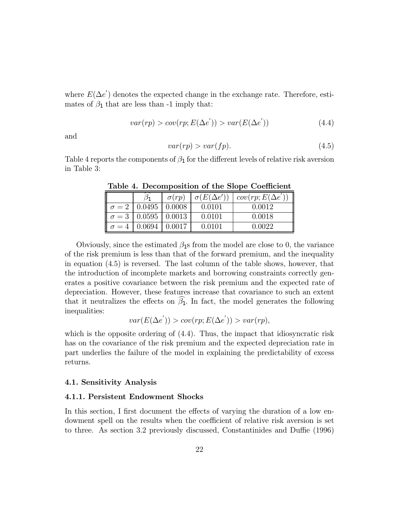where  $E(\Delta e')$  denotes the expected change in the exchange rate. Therefore, estimates of  $\beta_1$  that are less than -1 imply that:

$$
var(rp) > cov(rp; E(\Delta e')) > var(E(\Delta e'))
$$
\n(4.4)

and

$$
var(rp) > var(fp). \tag{4.5}
$$

Table 4 reports the components of  $\beta_1$  for the different levels of relative risk aversion in Table 3:

|                        |        | $\sigma (rp)$ | $\sigma(E(\Delta e))$ | $cov(rp;E(\Delta e^{\prime}),$ |
|------------------------|--------|---------------|-----------------------|--------------------------------|
| $\sigma = 2$           | 0.0495 | 0.0008        | 0.0101                | 0.0012                         |
| $\parallel \sigma = 3$ | 0.0595 | 0.0013        | 0.0101                | 0.0018                         |
| $\sigma = 4$           | 0.0694 | 0.0017        | 0.0101                | 0.0022                         |

Table 4. Decomposition of the Slope Coefficient

Obviously, since the estimated  $\beta_1$ s from the model are close to 0, the variance of the risk premium is less than that of the forward premium, and the inequality in equation (4.5) is reversed. The last column of the table shows, however, that the introduction of incomplete markets and borrowing constraints correctly generates a positive covariance between the risk premium and the expected rate of depreciation. However, these features increase that covariance to such an extent that it neutralizes the effects on  $\beta_1$ . In fact, the model generates the following inequalities:

$$
var(E(\Delta e')) > cov(rp; E(\Delta e')) > var(rp),
$$

which is the opposite ordering of  $(4.4)$ . Thus, the impact that idiosyncratic risk has on the covariance of the risk premium and the expected depreciation rate in part underlies the failure of the model in explaining the predictability of excess returns.

#### 4.1. Sensitivity Analysis

#### 4.1.1. Persistent Endowment Shocks

In this section, I first document the effects of varying the duration of a low endowment spell on the results when the coefficient of relative risk aversion is set to three. As section 3.2 previously discussed, Constantinides and Duffie (1996)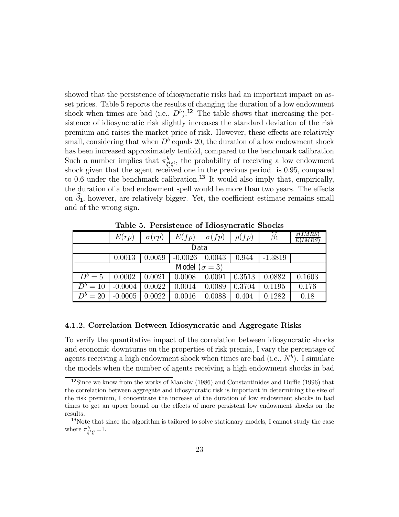showed that the persistence of idiosyncratic risks had an important impact on asset prices. Table 5 reports the results of changing the duration of a low endowment shock when times are bad (i.e.,  $D^b$ ).<sup>12</sup> The table shows that increasing the persistence of idiosyncratic risk slightly increases the standard deviation of the risk premium and raises the market price of risk. However, these effects are relatively small, considering that when  $D^b$  equals 20, the duration of a low endowment shock has been increased approximately tenfold, compared to the benchmark calibration Such a number implies that  $\pi_{\xi^l\xi^l}^b$ , the probability of receiving a low endowment shock given that the agent received one in the previous period. is 0.95, compared to 0.6 under the benchmark calibration.<sup>13</sup> It would also imply that, empirically, the duration of a bad endowment spell would be more than two years. The effects on  $\beta_1$ , however, are relatively bigger. Yet, the coefficient estimate remains small and of the wrong sign.

|                      | E(rp)                  | $\sigma(rp)$           | E(fp)                                    | $\sigma(fp)$  | $\rho(fp)$    | $\widehat{\beta_1}$ | $\sigma(IMRS)$<br>E(IMRS) |  |
|----------------------|------------------------|------------------------|------------------------------------------|---------------|---------------|---------------------|---------------------------|--|
| Data                 |                        |                        |                                          |               |               |                     |                           |  |
|                      | 0.0013                 | 0.0059                 | $-0.0026 \mid 0.0043 \mid$               |               | 0.944         | $-1.3819$           |                           |  |
|                      | Model ( $\sigma = 3$ ) |                        |                                          |               |               |                     |                           |  |
| $D^b=5$              | 0.0002                 |                        | $\vert 0.0021 \vert 0.0008 \vert 0.0091$ |               | $\mid 0.3513$ | 0.0882              | 0.1603                    |  |
| $D^b = 10$           | $-0.0004$              | $\lceil 0.0022 \rceil$ | 0.0014                                   | $\mid 0.0089$ | 0.3704        | 0.1195              | 0.176                     |  |
| $\parallel D^b = 20$ | $-0.0005$   0.0022     |                        | 0.0016                                   | 0.0088        | 0.404         | 0.1282              | 0.18                      |  |

Table 5. Persistence of Idiosyncratic Shocks

#### 4.1.2. Correlation Between Idiosyncratic and Aggregate Risks

To verify the quantitative impact of the correlation between idiosyncratic shocks and economic downturns on the properties of risk premia, I vary the percentage of agents receiving a high endowment shock when times are bad (i.e.,  $N^b$ ). I simulate the models when the number of agents receiving a high endowment shocks in bad

<sup>12</sup>Since we know from the works of Mankiw (1986) and Constantinides and Duffie (1996) that the correlation between aggregate and idiosyncratic risk is important in determining the size of the risk premium, I concentrate the increase of the duration of low endowment shocks in bad times to get an upper bound on the effects of more persistent low endowment shocks on the results.

<sup>&</sup>lt;sup>13</sup>Note that since the algorithm is tailored to solve stationary models, I cannot study the case where  $\pi_{\xi^l\xi^l}^b = 1$ .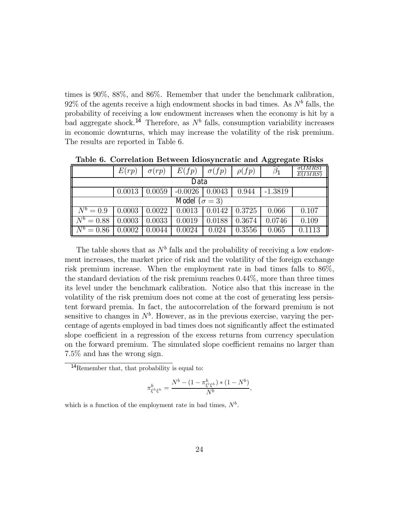times is 90%, 88%, and 86%. Remember that under the benchmark calibration, 92% of the agents receive a high endowment shocks in bad times. As  $N<sup>b</sup>$  falls, the probability of receiving a low endowment increases when the economy is hit by a bad aggregate shock.<sup>14</sup> Therefore, as  $N<sup>b</sup>$  falls, consumption variability increases in economic downturns, which may increase the volatility of the risk premium. The results are reported in Table 6.

|                 | E(rp)                  | $\sigma (rp)$        | E(fp)            | $\sigma(fp)$       | $\rho(fp)$   | $\widehat{\beta_1}$ | $\sigma(IMRS)$<br>E(IMRS) |  |
|-----------------|------------------------|----------------------|------------------|--------------------|--------------|---------------------|---------------------------|--|
| Data            |                        |                      |                  |                    |              |                     |                           |  |
|                 | 0.0013                 | $\mid 0.0059 \mid$   | $-0.0026$ 0.0043 |                    | 0.944        | $-1.3819$           |                           |  |
|                 | Model ( $\sigma = 3$ ) |                      |                  |                    |              |                     |                           |  |
| $N^b = 0.9$     | 0.0003                 | $\vert 0.0022 \vert$ | 0.0013           | $\mid 0.0142 \mid$ | $\pm 0.3725$ | 0.066               | 0.107                     |  |
| $N^b = 0.88$    | 0.0003                 | $\vert 0.0033$       | 0.0019           | $\mid$ 0.0188      | 0.3674       | 0.0746              | 0.109                     |  |
| $\Box N^b=0.86$ | 0.0002                 | $\mid 0.0044$        | 0.0024           | 0.024              | 0.3556       | 0.065               | 0.1113                    |  |

Table 6. Correlation Between Idiosyncratic and Aggregate Risks

The table shows that as  $N<sup>b</sup>$  falls and the probability of receiving a low endowment increases, the market price of risk and the volatility of the foreign exchange risk premium increase. When the employment rate in bad times falls to 86%, the standard deviation of the risk premium reaches 0.44%, more than three times its level under the benchmark calibration. Notice also that this increase in the volatility of the risk premium does not come at the cost of generating less persistent forward premia. In fact, the autocorrelation of the forward premium is not sensitive to changes in  $N^b$ . However, as in the previous exercise, varying the percentage of agents employed in bad times does not significantly affect the estimated slope coefficient in a regression of the excess returns from currency speculation on the forward premium. The simulated slope coefficient remains no larger than 7.5% and has the wrong sign.

 $14$ Remember that, that probability is equal to:

$$
\pi_{\xi^h \xi^h}^b = \frac{N^b - (1 - \pi_{\xi^l \xi^h}^b) * (1 - N^b)}{N^b},
$$

which is a function of the employment rate in bad times,  $N<sup>b</sup>$ .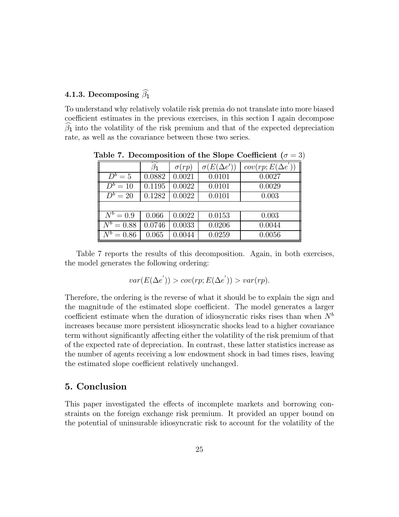## 4.1.3. Decomposing  $\beta_1$

To understand why relatively volatile risk premia do not translate into more biased coefficient estimates in the previous exercises, in this section I again decompose  $\beta_1$  into the volatility of the risk premium and that of the expected depreciation rate, as well as the covariance between these two series.

|                      |        | $\sigma (rp)$ | $\sigma(E(\Delta e'))$ | $cov(rp; E(\Delta e'))$ |
|----------------------|--------|---------------|------------------------|-------------------------|
| $D^b=5$              | 0.0882 | 0.0021        | 0.0101                 | 0.0027                  |
| $D^b = 10$           | 0.1195 | 0.0022        | 0.0101                 | 0.0029                  |
| $D^b = 20$           | 0.1282 | 0.0022        | 0.0101                 | 0.003                   |
|                      |        |               |                        |                         |
| $\overline{N}^b=0.9$ | 0.066  | 0.0022        | 0.0153                 | 0.003                   |
| $N^b = 0.88$         | 0.0746 | 0.0033        | 0.0206                 | 0.0044                  |
| $N^b$<br>$= 0.86$    | 0.065  | 0.0044        | 0.0259                 | 0.0056                  |

Table 7. Decomposition of the Slope Coefficient ( $\sigma = 3$ )

Table 7 reports the results of this decomposition. Again, in both exercises, the model generates the following ordering:

$$
var(E(\Delta e')) > cov(rp; E(\Delta e')) > var(rp).
$$

Therefore, the ordering is the reverse of what it should be to explain the sign and the magnitude of the estimated slope coefficient. The model generates a larger coefficient estimate when the duration of idiosyncratic risks rises than when  $N^b$ increases because more persistent idiosyncratic shocks lead to a higher covariance term without significantly affecting either the volatility of the risk premium of that of the expected rate of depreciation. In contrast, these latter statistics increase as the number of agents receiving a low endowment shock in bad times rises, leaving the estimated slope coefficient relatively unchanged.

## 5. Conclusion

This paper investigated the effects of incomplete markets and borrowing constraints on the foreign exchange risk premium. It provided an upper bound on the potential of uninsurable idiosyncratic risk to account for the volatility of the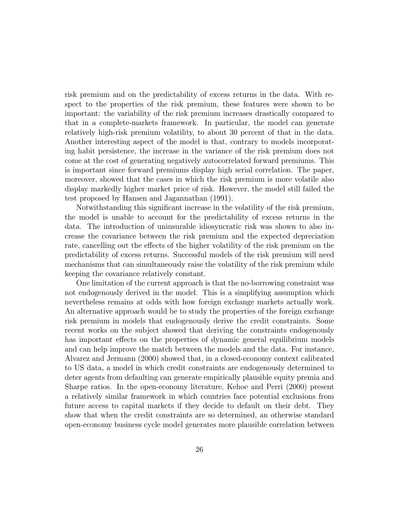risk premium and on the predictability of excess returns in the data. With respect to the properties of the risk premium, these features were shown to be important: the variability of the risk premium increases drastically compared to that in a complete-markets framework. In particular, the model can generate relatively high-risk premium volatility, to about 30 percent of that in the data. Another interesting aspect of the model is that, contrary to models incorporating habit persistence, the increase in the variance of the risk premium does not come at the cost of generating negatively autocorrelated forward premiums. This is important since forward premiums display high serial correlation. The paper, moreover, showed that the cases in which the risk premium is more volatile also display markedly higher market price of risk. However, the model still failed the test proposed by Hansen and Jagannathan (1991).

Notwithstanding this significant increase in the volatility of the risk premium, the model is unable to account for the predictability of excess returns in the data. The introduction of uninsurable idiosyncratic risk was shown to also increase the covariance between the risk premium and the expected depreciation rate, cancelling out the effects of the higher volatility of the risk premium on the predictability of excess returns. Successful models of the risk premium will need mechanisms that can simultaneously raise the volatility of the risk premium while keeping the covariance relatively constant.

One limitation of the current approach is that the no-borrowing constraint was not endogenously derived in the model. This is a simplifying assumption which nevertheless remains at odds with how foreign exchange markets actually work. An alternative approach would be to study the properties of the foreign exchange risk premium in models that endogenously derive the credit constraints. Some recent works on the subject showed that deriving the constraints endogenously has important effects on the properties of dynamic general equilibrium models and can help improve the match between the models and the data. For instance, Alvarez and Jermann (2000) showed that, in a closed-economy context calibrated to US data, a model in which credit constraints are endogenously determined to deter agents from defaulting can generate empirically plausible equity premia and Sharpe ratios. In the open-economy literature, Kehoe and Perri (2000) present a relatively similar framework in which countries face potential exclusions from future access to capital markets if they decide to default on their debt. They show that when the credit constraints are so determined, an otherwise standard open-economy business cycle model generates more plausible correlation between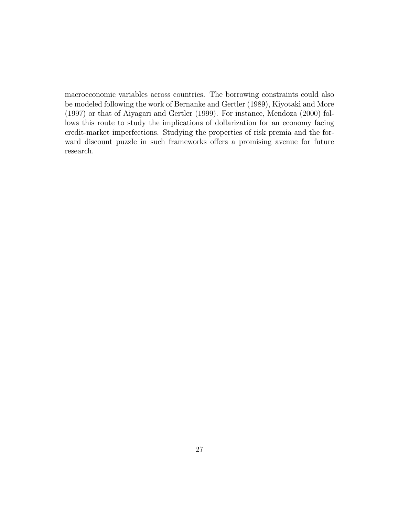macroeconomic variables across countries. The borrowing constraints could also be modeled following the work of Bernanke and Gertler (1989), Kiyotaki and More (1997) or that of Aiyagari and Gertler (1999). For instance, Mendoza (2000) follows this route to study the implications of dollarization for an economy facing credit-market imperfections. Studying the properties of risk premia and the forward discount puzzle in such frameworks offers a promising avenue for future research.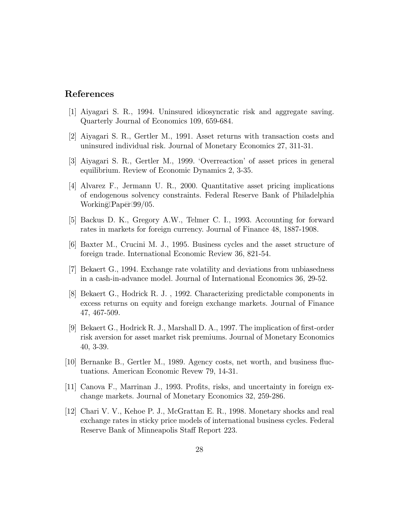### References

- [1] Aiyagari S. R., 1994. Uninsured idiosyncratic risk and aggregate saving. Quarterly Journal of Economics 109, 659-684.
- [2] Aiyagari S. R., Gertler M., 1991. Asset returns with transaction costs and uninsured individual risk. Journal of Monetary Economics 27, 311-31.
- [3] Aiyagari S. R., Gertler M., 1999. 'Overreaction' of asset prices in general equilibrium. Review of Economic Dynamics 2, 3-35.
- [4] Alvarez F., Jermann U. R., 2000. Quantitative asset pricing implications of endogenous solvency constraints. Federal Reserve Bank of Philadelphia Working Paper 99/05.
- [5] Backus D. K., Gregory A.W., Telmer C. I., 1993. Accounting for forward rates in markets for foreign currency. Journal of Finance 48, 1887-1908.
- [6] Baxter M., Crucini M. J., 1995. Business cycles and the asset structure of foreign trade. International Economic Review 36, 821-54.
- [7] Bekaert G., 1994. Exchange rate volatility and deviations from unbiasedness in a cash-in-advance model. Journal of International Economics 36, 29-52.
- [8] Bekaert G., Hodrick R. J. , 1992. Characterizing predictable components in excess returns on equity and foreign exchange markets. Journal of Finance 47, 467-509.
- [9] Bekaert G., Hodrick R. J., Marshall D. A., 1997. The implication of first-order risk aversion for asset market risk premiums. Journal of Monetary Economics 40, 3-39.
- [10] Bernanke B., Gertler M., 1989. Agency costs, net worth, and business fluctuations. American Economic Revew 79, 14-31.
- [11] Canova F., Marrinan J., 1993. Profits, risks, and uncertainty in foreign exchange markets. Journal of Monetary Economics 32, 259-286.
- [12] Chari V. V., Kehoe P. J., McGrattan E. R., 1998. Monetary shocks and real exchange rates in sticky price models of international business cycles. Federal Reserve Bank of Minneapolis Staff Report 223.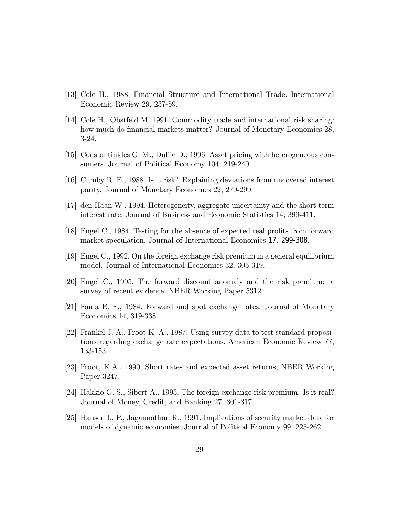- [13] Cole H., 1988. Financial Structure and International Trade. International Economic Review 29, 237-59.
- [14] Cole H., Obstfeld M, 1991. Commodity trade and international risk sharing: how much do financial markets matter? Journal of Monetary Economics 28, 3-24.
- [15] Constantinides G. M., Duffie D., 1996. Asset pricing with heterogeneous consumers. Journal of Political Economy 104, 219-240.
- [16] Cumby R. E., 1988. Is it risk? Explaining deviations from uncovered interest parity. Journal of Monetary Economics 22, 279-299.
- [17] den Haan W., 1994. Heterogeneity, aggregate uncertainty and the short term interest rate. Journal of Business and Economic Statistics 14, 399-411.
- [18] Engel C., 1984. Testing for the absence of expected real profits from forward market speculation. Journal of International Economics 17, 299-308.
- [19] Engel C., 1992. On the foreign exchange risk premium in a general equilibrium model. Journal of International Economics 32, 305-319.
- [20] Engel C., 1995. The forward discount anomaly and the risk premium: a survey of recent evidence. NBER Working Paper 5312.
- [21] Fama E. F., 1984. Forward and spot exchange rates. Journal of Monetary Economics 14, 319-338.
- [22] Frankel J. A., Froot K. A., 1987. Using survey data to test standard propositions regarding exchange rate expectations. American Economic Review 77, 133-153.
- [23] Froot, K.A., 1990. Short rates and expected asset returns, NBER Working Paper 3247.
- [24] Hakkio G. S., Sibert A., 1995. The foreign exchange risk premium: Is it real? Journal of Money, Credit, and Banking 27, 301-317.
- [25] Hansen L. P., Jagannathan R., 1991. Implications of security market data for models of dynamic economies. Journal of Political Economy 99, 225-262.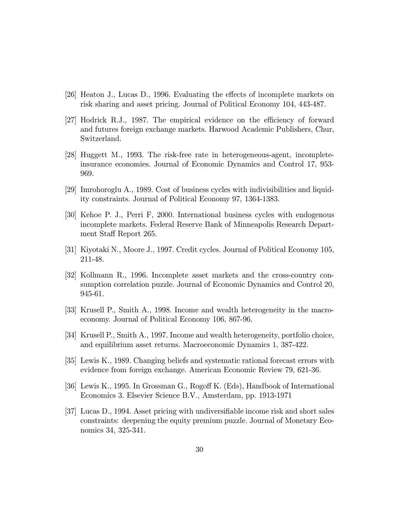- [26] Heaton J., Lucas D., 1996. Evaluating the effects of incomplete markets on risk sharing and asset pricing. Journal of Political Economy 104, 443-487.
- [27] Hodrick R.J., 1987. The empirical evidence on the efficiency of forward and futures foreign exchange markets. Harwood Academic Publishers, Chur, Switzerland.
- [28] Huggett M., 1993. The risk-free rate in heterogeneous-agent, incompleteinsurance economies. Journal of Economic Dynamics and Control 17, 953- 969.
- [29] Imrohoroglu A., 1989. Cost of business cycles with indivisibilities and liquidity constraints. Journal of Political Economy 97, 1364-1383.
- [30] Kehoe P. J., Perri F, 2000. International business cycles with endogenous incomplete markets. Federal Reserve Bank of Minneapolis Research Department Staff Report 265.
- [31] Kiyotaki N., Moore J., 1997. Credit cycles. Journal of Political Economy 105, 211-48.
- [32] Kollmann R., 1996. Incomplete asset markets and the cross-country consumption correlation puzzle. Journal of Economic Dynamics and Control 20, 945-61.
- [33] Krusell P., Smith A., 1998. Income and wealth heterogeneity in the macroeconomy. Journal of Political Economy 106, 867-96.
- [34] Krusell P., Smith A., 1997. Income and wealth heterogeneity, portfolio choice, and equilibrium asset returns. Macroeconomic Dynamics 1, 387-422.
- [35] Lewis K., 1989. Changing beliefs and systematic rational forecast errors with evidence from foreign exchange. American Economic Review 79, 621-36.
- [36] Lewis K., 1995. In Grossman G., Rogoff K. (Eds), Handbook of International Economics 3. Elsevier Science B.V., Amsterdam, pp. 1913-1971
- [37] Lucas D., 1994. Asset pricing with undiversifiable income risk and short sales constraints: deepening the equity premium puzzle. Journal of Monetary Economics 34, 325-341.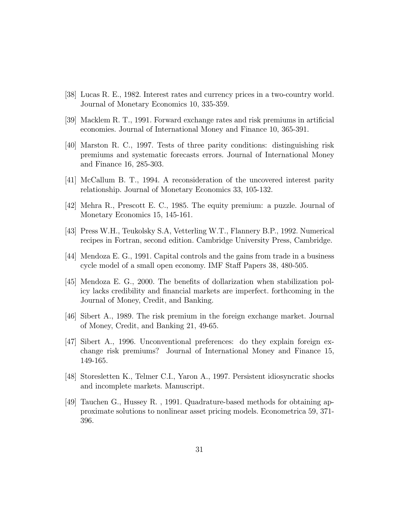- [38] Lucas R. E., 1982. Interest rates and currency prices in a two-country world. Journal of Monetary Economics 10, 335-359.
- [39] Macklem R. T., 1991. Forward exchange rates and risk premiums in artificial economies. Journal of International Money and Finance 10, 365-391.
- [40] Marston R. C., 1997. Tests of three parity conditions: distinguishing risk premiums and systematic forecasts errors. Journal of International Money and Finance 16, 285-303.
- [41] McCallum B. T., 1994. A reconsideration of the uncovered interest parity relationship. Journal of Monetary Economics 33, 105-132.
- [42] Mehra R., Prescott E. C., 1985. The equity premium: a puzzle. Journal of Monetary Economics 15, 145-161.
- [43] Press W.H., Teukolsky S.A, Vetterling W.T., Flannery B.P., 1992. Numerical recipes in Fortran, second edition. Cambridge University Press, Cambridge.
- [44] Mendoza E. G., 1991. Capital controls and the gains from trade in a business cycle model of a small open economy. IMF Staff Papers 38, 480-505.
- [45] Mendoza E. G., 2000. The benefits of dollarization when stabilization policy lacks credibility and financial markets are imperfect. forthcoming in the Journal of Money, Credit, and Banking.
- [46] Sibert A., 1989. The risk premium in the foreign exchange market. Journal of Money, Credit, and Banking 21, 49-65.
- [47] Sibert A., 1996. Unconventional preferences: do they explain foreign exchange risk premiums? Journal of International Money and Finance 15, 149-165.
- [48] Storesletten K., Telmer C.I., Yaron A., 1997. Persistent idiosyncratic shocks and incomplete markets. Manuscript.
- [49] Tauchen G., Hussey R. , 1991. Quadrature-based methods for obtaining approximate solutions to nonlinear asset pricing models. Econometrica 59, 371- 396.